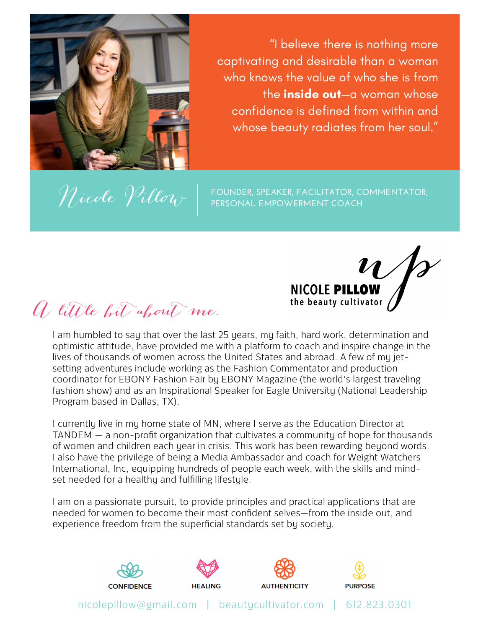

"I believe there is nothing more captivating and desirable than a woman who knows the value of who she is from the **inside out**—a woman whose confidence is defined from within and whose beauty radiates from her soul."

*Nicole Villow* FOUNDER, SPEAKER, FACILITATOR, COMMENTATOR, **PERSONAL EMPOWERMENT COACH**

NICOLE PILLOW the beauty cultivator

A little bit about me.

I am humbled to say that over the last 25 years, my faith, hard work, determination and optimistic attitude, have provided me with a platform to coach and inspire change in the lives of thousands of women across the United States and abroad. A few of my jetsetting adventures include working as the Fashion Commentator and production coordinator for EBONY Fashion Fair by EBONY Magazine (the world's largest traveling fashion show) and as an Inspirational Speaker for Eagle University (National Leadership Program based in Dallas, TX).

I currently live in my home state of MN, where I serve as the Education Director at TANDEM — a non-profit organization that cultivates a community of hope for thousands of women and children each year in crisis. This work has been rewarding beyond words. I also have the privilege of being a Media Ambassador and coach for Weight Watchers International, Inc, equipping hundreds of people each week, with the skills and mindset needed for a healthy and fulfilling lifestyle.

I am on a passionate pursuit, to provide principles and practical applications that are needed for women to become their most confident selves—from the inside out, and experience freedom from the superficial standards set by society.